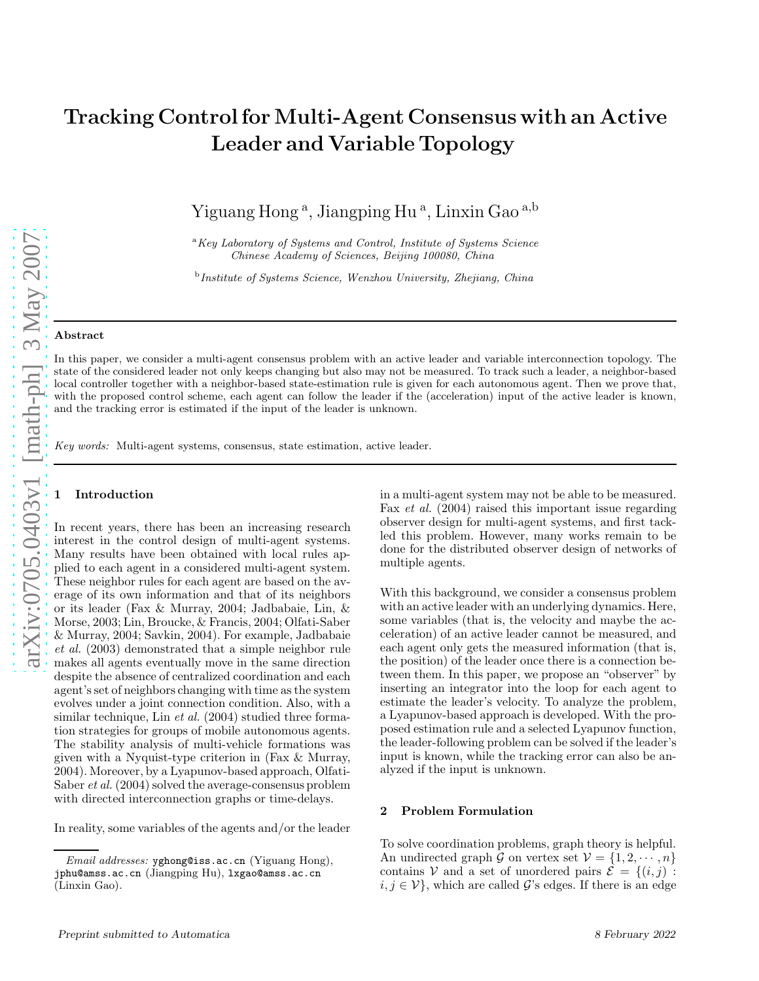# Tracking Control for Multi-Agent Consensus with an Active Leader and Variable Topology

Yiguang Hong<sup>a</sup>, Jiangping Hu<sup>a</sup>, Linxin Gao<sup>a,b</sup>

<sup>a</sup>*Key Laboratory of Systems and Control, Institute of Systems Science Chinese Academy of Sciences, Beijing 100080, China*

b *Institute of Systems Science, Wenzhou University, Zhejiang, China*

#### Abstract

In this paper, we consider a multi-agent consensus problem with an active leader and variable interconnection topology. The state of the considered leader not only keeps changing but also may not be measured. To track such a leader, a neighbor-based local controller together with a neighbor-based state-estimation rule is given for each autonomous agent. Then we prove that, with the proposed control scheme, each agent can follow the leader if the (acceleration) input of the active leader is known, and the tracking error is estimated if the input of the leader is unknown.

*Key words:* Multi-agent systems, consensus, state estimation, active leader.

## **Introduction**

In recent years, there has been an increasing research interest in the control design of multi-agent systems. Many results have been obtained with local rules applied to each agent in a considered multi-agent system. These neighbor rules for each agent are based on the average of its own information and that of its neighbors or its leader (Fax & Murray, 2004; Jadbabaie, Lin, & Morse, 2003; Lin, Broucke, & Francis, 2004; Olfati-Saber & Murray, 2004; Savkin, 2004). For example, Jadbabaie et al. (2003) demonstrated that a simple neighbor rule makes all agents eventually move in the same direction despite the absence of centralized coordination and each agent's set of neighbors changing with time as the system evolves under a joint connection condition. Also, with a similar technique, Lin et al. (2004) studied three formation strategies for groups of mobile autonomous agents. The stability analysis of multi-vehicle formations was given with a Nyquist-type criterion in (Fax & Murray, 2004). Moreover, by a Lyapunov-based approach, Olfati-Saber et al. (2004) solved the average-consensus problem with directed interconnection graphs or time-delays.

In reality, some variables of the agents and/or the leader

in a multi-agent system may not be able to be measured. Fax et al. (2004) raised this important issue regarding observer design for multi-agent systems, and first tackled this problem. However, many works remain to be done for the distributed observer design of networks of multiple agents.

With this background, we consider a consensus problem with an active leader with an underlying dynamics. Here, some variables (that is, the velocity and maybe the acceleration) of an active leader cannot be measured, and each agent only gets the measured information (that is, the position) of the leader once there is a connection between them. In this paper, we propose an "observer" by inserting an integrator into the loop for each agent to estimate the leader's velocity. To analyze the problem, a Lyapunov-based approach is developed. With the proposed estimation rule and a selected Lyapunov function, the leader-following problem can be solved if the leader's input is known, while the tracking error can also be analyzed if the input is unknown.

#### 2 Problem Formulation

To solve coordination problems, graph theory is helpful. An undirected graph G on vertex set  $\mathcal{V} = \{1, 2, \cdots, n\}$ contains V and a set of unordered pairs  $\mathcal{E} = \{(i, j):$  $i, j \in \mathcal{V}$ , which are called G's edges. If there is an edge

*Email addresses:* yghong@iss.ac.cn (Yiguang Hong), jphu@amss.ac.cn (Jiangping Hu), lxgao@amss.ac.cn (Linxin Gao).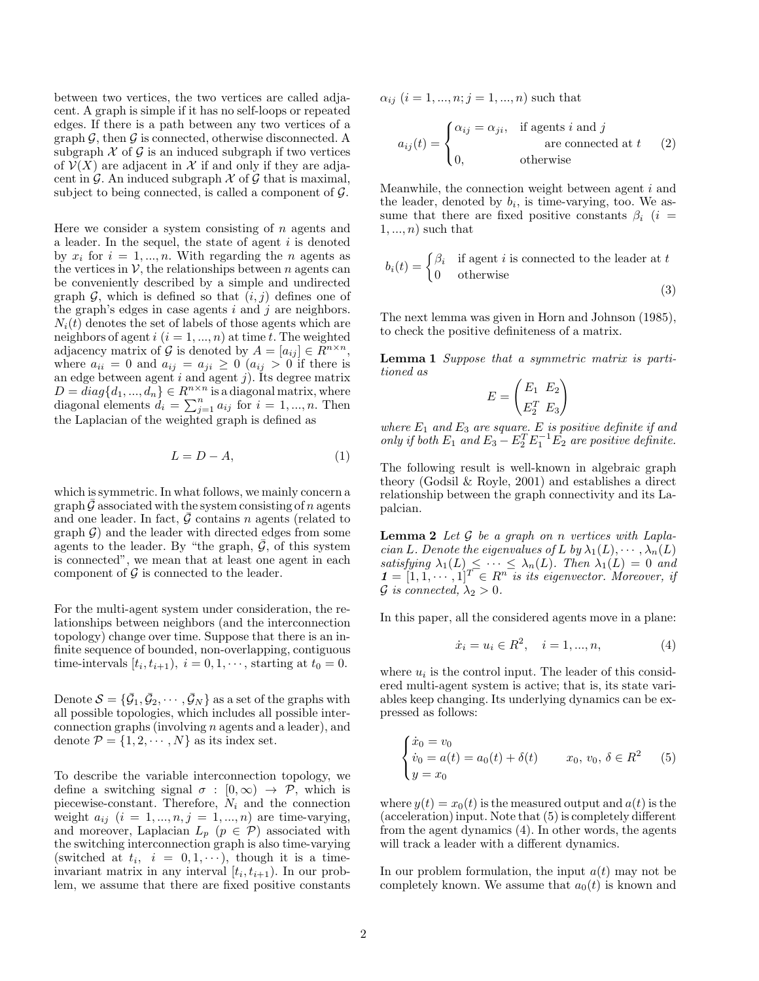between two vertices, the two vertices are called adjacent. A graph is simple if it has no self-loops or repeated edges. If there is a path between any two vertices of a graph  $\mathcal{G}$ , then  $\mathcal{G}$  is connected, otherwise disconnected. A subgraph  $\mathcal X$  of  $\mathcal G$  is an induced subgraph if two vertices of  $\mathcal{V}(X)$  are adjacent in X if and only if they are adjacent in  $\mathcal G$ . An induced subgraph  $\mathcal X$  of  $\mathcal G$  that is maximal, subject to being connected, is called a component of  $\mathcal{G}$ .

Here we consider a system consisting of  $n$  agents and a leader. In the sequel, the state of agent  $i$  is denoted by  $x_i$  for  $i = 1, ..., n$ . With regarding the *n* agents as the vertices in  $V$ , the relationships between n agents can be conveniently described by a simple and undirected graph  $\mathcal{G}$ , which is defined so that  $(i, j)$  defines one of the graph's edges in case agents  $i$  and  $j$  are neighbors.  $N_i(t)$  denotes the set of labels of those agents which are neighbors of agent  $i$   $(i = 1, ..., n)$  at time t. The weighted adjacency matrix of G is denoted by  $A = [a_{ij}] \in R^{n \times n}$ , where  $a_{ii} = 0$  and  $a_{ij} = a_{ji} \geq 0$  ( $a_{ij} > 0$  if there is an edge between agent  $i$  and agent  $j$ ). Its degree matrix  $D = diag\{d_1, ..., d_n\} \in R^{n \times n}$  is a diagonal matrix, where diagonal elements  $d_i = \sum_{j=1}^n a_{ij}$  for  $i = 1, ..., n$ . Then the Laplacian of the weighted graph is defined as

$$
L = D - A,\tag{1}
$$

which is symmetric. In what follows, we mainly concern a graph  $\bar{G}$  associated with the system consisting of n agents and one leader. In fact,  $\bar{\mathcal{G}}$  contains n agents (related to graph  $\mathcal{G}$ ) and the leader with directed edges from some agents to the leader. By "the graph,  $\bar{G}$ , of this system is connected", we mean that at least one agent in each component of  $\mathcal G$  is connected to the leader.

For the multi-agent system under consideration, the relationships between neighbors (and the interconnection topology) change over time. Suppose that there is an infinite sequence of bounded, non-overlapping, contiguous time-intervals  $[t_i, t_{i+1}), i = 0, 1, \dots$ , starting at  $t_0 = 0$ .

Denote  $S = {\bar{G_1}, \bar{G_2}, \cdots, \bar{G_N}}$  as a set of the graphs with all possible topologies, which includes all possible interconnection graphs (involving n agents and a leader), and denote  $\mathcal{P} = \{1, 2, \cdots, N\}$  as its index set.

To describe the variable interconnection topology, we define a switching signal  $\sigma : [0, \infty) \rightarrow \mathcal{P}$ , which is piecewise-constant. Therefore,  $N_i$  and the connection weight  $a_{ij}$   $(i = 1, ..., n, j = 1, ..., n)$  are time-varying, and moreover, Laplacian  $L_p$  ( $p \in \mathcal{P}$ ) associated with the switching interconnection graph is also time-varying (switched at  $t_i$ ,  $i = 0, 1, \dots$ ), though it is a timeinvariant matrix in any interval  $[t_i, t_{i+1})$ . In our problem, we assume that there are fixed positive constants  $\alpha_{ij}$   $(i = 1, ..., n; j = 1, ..., n)$  such that

$$
a_{ij}(t) = \begin{cases} \alpha_{ij} = \alpha_{ji}, & \text{if agents } i \text{ and } j \\ 0, & \text{otherwise} \end{cases}
$$
 (2)

Meanwhile, the connection weight between agent i and the leader, denoted by  $b_i$ , is time-varying, too. We assume that there are fixed positive constants  $\beta_i$  (i =  $1, \ldots, n$  such that

$$
b_i(t) = \begin{cases} \beta_i & \text{if agent } i \text{ is connected to the leader at } t \\ 0 & \text{otherwise} \end{cases}
$$

(3)

The next lemma was given in Horn and Johnson (1985), to check the positive definiteness of a matrix.

Lemma 1 Suppose that a symmetric matrix is partitioned as

$$
E = \begin{pmatrix} E_1 & E_2 \\ E_2^T & E_3 \end{pmatrix}
$$

where  $E_1$  and  $E_3$  are square. E is positive definite if and only if both  $E_1$  and  $E_3 - E_2^T E_1^{-1} E_2$  are positive definite.

The following result is well-known in algebraic graph theory (Godsil & Royle, 2001) and establishes a direct relationship between the graph connectivity and its Lapalcian.

**Lemma 2** Let  $\mathcal G$  be a graph on n vertices with Laplacian L. Denote the eigenvalues of L by  $\lambda_1(L), \cdots, \lambda_n(L)$ satisfying  $\lambda_1(L) \leq \cdots \leq \lambda_n(L)$ . Then  $\lambda_1(L) = 0$  and  $\mathbf{1} = [1, 1, \cdots, 1]^T \in R^{n}$  is its eigenvector. Moreover, if  $\mathcal G$  is connected,  $\lambda_2 > 0$ .

In this paper, all the considered agents move in a plane:

$$
\dot{x}_i = u_i \in R^2, \quad i = 1, ..., n,
$$
\n(4)

where  $u_i$  is the control input. The leader of this considered multi-agent system is active; that is, its state variables keep changing. Its underlying dynamics can be expressed as follows:

$$
\begin{cases}\n\dot{x}_0 = v_0 \\
\dot{v}_0 = a(t) = a_0(t) + \delta(t) \\
y = x_0\n\end{cases} \quad x_0, \ v_0, \ \delta \in R^2 \quad (5)
$$

where  $y(t) = x_0(t)$  is the measured output and  $a(t)$  is the (acceleration) input. Note that (5) is completely different from the agent dynamics (4). In other words, the agents will track a leader with a different dynamics.

In our problem formulation, the input  $a(t)$  may not be completely known. We assume that  $a_0(t)$  is known and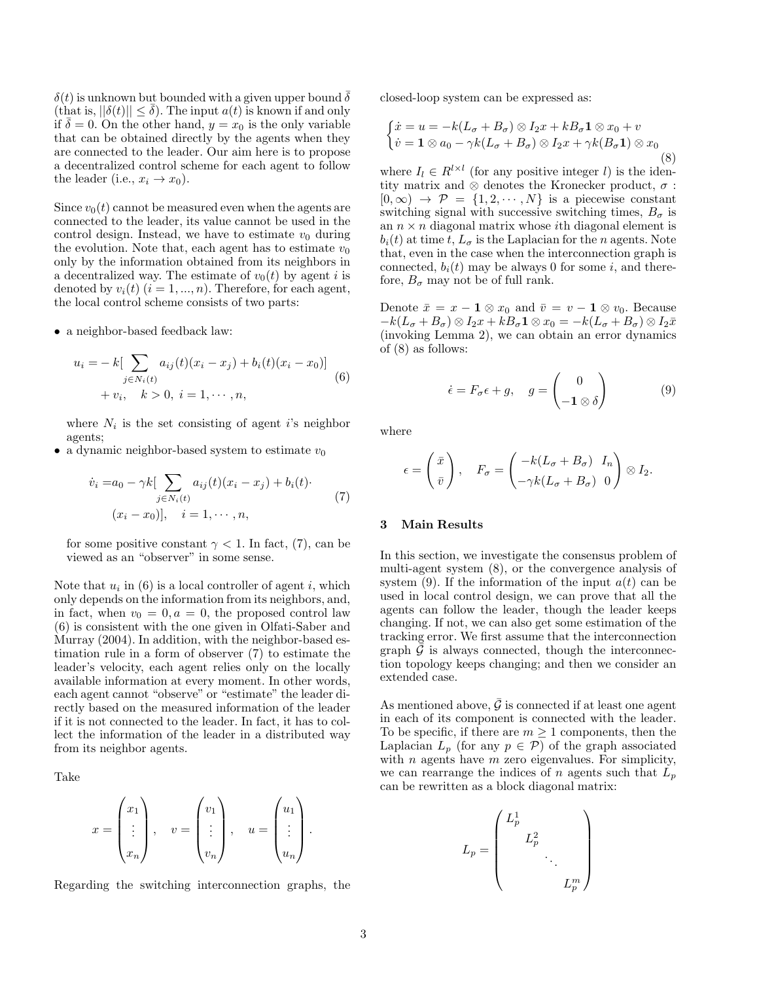$\delta(t)$  is unknown but bounded with a given upper bound  $\delta$  $(\text{that is}, ||\delta(t)|| < \overline{\delta}).$  The input  $a(t)$  is known if and only if  $\overline{\delta} = 0$ . On the other hand,  $y = x_0$  is the only variable that can be obtained directly by the agents when they are connected to the leader. Our aim here is to propose a decentralized control scheme for each agent to follow the leader (i.e.,  $x_i \rightarrow x_0$ ).

Since  $v_0(t)$  cannot be measured even when the agents are connected to the leader, its value cannot be used in the control design. Instead, we have to estimate  $v_0$  during the evolution. Note that, each agent has to estimate  $v_0$ only by the information obtained from its neighbors in a decentralized way. The estimate of  $v_0(t)$  by agent i is denoted by  $v_i(t)$   $(i = 1, ..., n)$ . Therefore, for each agent, the local control scheme consists of two parts:

• a neighbor-based feedback law:

$$
u_i = -k[\sum_{j \in N_i(t)} a_{ij}(t)(x_i - x_j) + b_i(t)(x_i - x_0)]
$$
  
+  $v_i, \quad k > 0, \quad i = 1, \cdots, n,$  (6)

where  $N_i$  is the set consisting of agent *i*'s neighbor agents;

• a dynamic neighbor-based system to estimate  $v_0$ 

$$
\dot{v}_i = a_0 - \gamma k \left[ \sum_{j \in N_i(t)} a_{ij}(t) (x_i - x_j) + b_i(t) \right] \tag{7}
$$
\n
$$
(x_i - x_0) \left[ , \quad i = 1, \cdots, n, \right]
$$

for some positive constant  $\gamma$  < 1. In fact, (7), can be viewed as an "observer" in some sense.

Note that  $u_i$  in (6) is a local controller of agent i, which only depends on the information from its neighbors, and, in fact, when  $v_0 = 0, a = 0$ , the proposed control law (6) is consistent with the one given in Olfati-Saber and Murray (2004). In addition, with the neighbor-based estimation rule in a form of observer (7) to estimate the leader's velocity, each agent relies only on the locally available information at every moment. In other words, each agent cannot "observe" or "estimate" the leader directly based on the measured information of the leader if it is not connected to the leader. In fact, it has to collect the information of the leader in a distributed way from its neighbor agents.

Take

$$
x = \begin{pmatrix} x_1 \\ \vdots \\ x_n \end{pmatrix}, \quad v = \begin{pmatrix} v_1 \\ \vdots \\ v_n \end{pmatrix}, \quad u = \begin{pmatrix} u_1 \\ \vdots \\ u_n \end{pmatrix}.
$$

Regarding the switching interconnection graphs, the

closed-loop system can be expressed as:

$$
\begin{cases}\n\dot{x} = u = -k(L_{\sigma} + B_{\sigma}) \otimes I_2 x + k B_{\sigma} \mathbf{1} \otimes x_0 + v \\
\dot{v} = \mathbf{1} \otimes a_0 - \gamma k(L_{\sigma} + B_{\sigma}) \otimes I_2 x + \gamma k(B_{\sigma} \mathbf{1}) \otimes x_0\n\end{cases}
$$
\n(8)

where  $I_l \in R^{l \times l}$  (for any positive integer *l*) is the identity matrix and ⊗ denotes the Kronecker product,  $\sigma$ :  $[0, \infty) \rightarrow \mathcal{P} = \{1, 2, \cdots, N\}$  is a piecewise constant switching signal with successive switching times,  $B_{\sigma}$  is an  $n \times n$  diagonal matrix whose *i*th diagonal element is  $b_i(t)$  at time t,  $L_{\sigma}$  is the Laplacian for the n agents. Note that, even in the case when the interconnection graph is connected,  $b_i(t)$  may be always 0 for some i, and therefore,  $B_{\sigma}$  may not be of full rank.

Denote  $\bar{x} = x - \mathbf{1} \otimes x_0$  and  $\bar{v} = v - \mathbf{1} \otimes v_0$ . Because  $-k(L_{\sigma}+B_{\sigma})\otimes I_2x+kB_{\sigma}\mathbf{1}\otimes x_0=-k(L_{\sigma}+B_{\sigma})\otimes I_2\bar{x}$ (invoking Lemma 2), we can obtain an error dynamics of (8) as follows:

$$
\dot{\epsilon} = F_{\sigma}\epsilon + g, \quad g = \begin{pmatrix} 0 \\ -\mathbf{1} \otimes \delta \end{pmatrix} \tag{9}
$$

where

$$
\epsilon = \begin{pmatrix} \bar{x} \\ \bar{v} \end{pmatrix}, \quad F_{\sigma} = \begin{pmatrix} -k(L_{\sigma} + B_{\sigma}) & I_n \\ -\gamma k(L_{\sigma} + B_{\sigma}) & 0 \end{pmatrix} \otimes I_2.
$$

## 3 Main Results

In this section, we investigate the consensus problem of multi-agent system (8), or the convergence analysis of system (9). If the information of the input  $a(t)$  can be used in local control design, we can prove that all the agents can follow the leader, though the leader keeps changing. If not, we can also get some estimation of the tracking error. We first assume that the interconnection graph  $\mathcal G$  is always connected, though the interconnection topology keeps changing; and then we consider an extended case.

As mentioned above,  $\bar{G}$  is connected if at least one agent in each of its component is connected with the leader. To be specific, if there are  $m \geq 1$  components, then the Laplacian  $L_p$  (for any  $p \in \mathcal{P}$ ) of the graph associated with  $n$  agents have  $m$  zero eigenvalues. For simplicity, we can rearrange the indices of n agents such that  $L_p$ can be rewritten as a block diagonal matrix:

$$
L_p = \begin{pmatrix} L_p^1 & & & \\ & L_p^2 & & \\ & & \ddots & \\ & & & L_p^m \end{pmatrix}
$$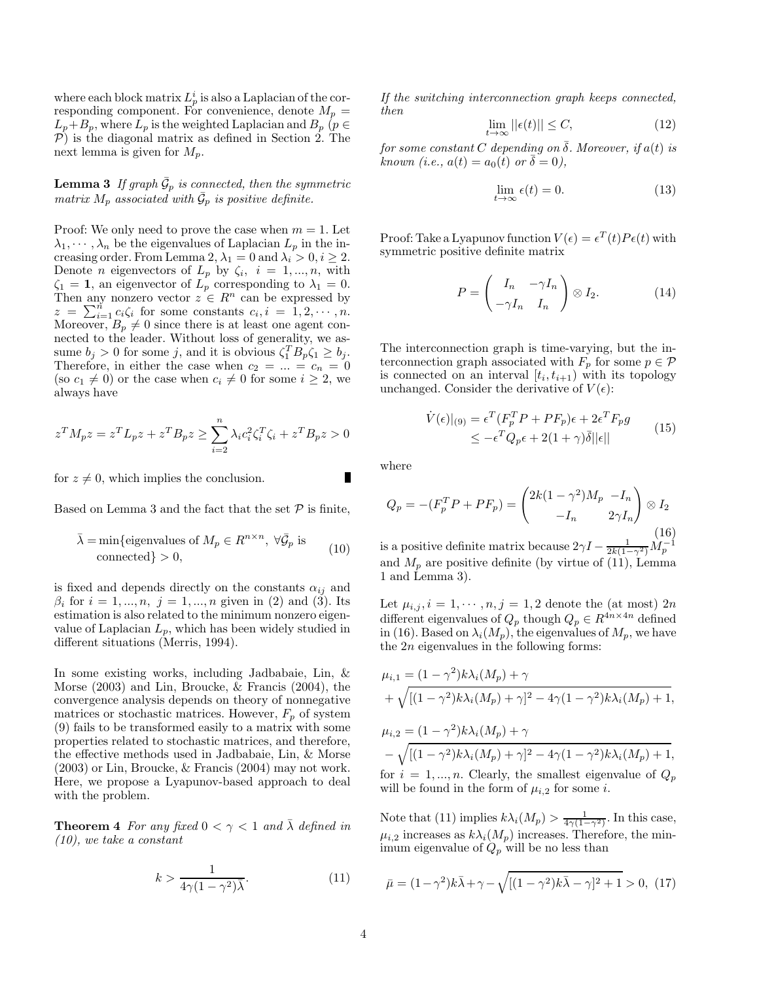where each block matrix  $L_p^i$  is also a Laplacian of the corresponding component. For convenience, denote  $M_p =$  $L_p+B_p$ , where  $L_p$  is the weighted Laplacian and  $B_p$  ( $p \in$  $P$ ) is the diagonal matrix as defined in Section 2. The next lemma is given for  $M_p$ .

**Lemma 3** If graph  $\bar{G}_p$  is connected, then the symmetric matrix  $M_p$  associated with  $\bar{\mathcal{G}}_p$  is positive definite.

Proof: We only need to prove the case when  $m = 1$ . Let  $\lambda_1, \dots, \lambda_n$  be the eigenvalues of Laplacian  $L_p$  in the increasing order. From Lemma 2,  $\lambda_1 = 0$  and  $\lambda_i > 0, i \geq 2$ . Denote *n* eigenvectors of  $L_p$  by  $\zeta_i$ ,  $i = 1, ..., n$ , with  $\zeta_1 = 1$ , an eigenvector of  $L_p$  corresponding to  $\lambda_1 = 0$ . Then any nonzero vector  $z \in \mathbb{R}^n$  can be expressed by  $z = \sum_{i=1}^{n} c_i \zeta_i$  for some constants  $c_i, i = 1, 2, \cdots, n$ . Moreover,  $B_p \neq 0$  since there is at least one agent connected to the leader. Without loss of generality, we assume  $b_j > 0$  for some j, and it is obvious  $\zeta_1^T B_p \zeta_1 \ge b_j$ . Therefore, in either the case when  $c_2 = ... = c_n = 0$ (so  $c_1 \neq 0$ ) or the case when  $c_i \neq 0$  for some  $i \geq 2$ , we always have

$$
z^T M_p z = z^T L_p z + z^T B_p z \ge \sum_{i=2}^n \lambda_i c_i^2 \zeta_i^T \zeta_i + z^T B_p z > 0
$$

for  $z \neq 0$ , which implies the conclusion.

Based on Lemma 3 and the fact that the set  $P$  is finite,

$$
\bar{\lambda} = \min\{\text{eigenvalues of } M_p \in R^{n \times n}, \ \forall \bar{\mathcal{G}}_p \text{ is} \}
$$
  
connected} > 0, (10)

is fixed and depends directly on the constants  $\alpha_{ij}$  and  $\beta_i$  for  $i = 1, ..., n, j = 1, ..., n$  given in (2) and (3). Its estimation is also related to the minimum nonzero eigenvalue of Laplacian  $L_p$ , which has been widely studied in different situations (Merris, 1994).

In some existing works, including Jadbabaie, Lin, & Morse (2003) and Lin, Broucke, & Francis (2004), the convergence analysis depends on theory of nonnegative matrices or stochastic matrices. However,  $F_p$  of system (9) fails to be transformed easily to a matrix with some properties related to stochastic matrices, and therefore, the effective methods used in Jadbabaie, Lin, & Morse (2003) or Lin, Broucke, & Francis (2004) may not work. Here, we propose a Lyapunov-based approach to deal with the problem.

**Theorem 4** For any fixed  $0 < \gamma < 1$  and  $\lambda$  defined in (10), we take a constant

$$
k > \frac{1}{4\gamma(1 - \gamma^2)\overline{\lambda}}.\tag{11}
$$

If the switching interconnection graph keeps connected, then

$$
\lim_{t \to \infty} ||\epsilon(t)|| \le C,\tag{12}
$$

for some constant C depending on  $\overline{\delta}$ . Moreover, if  $a(t)$  is known (i.e.,  $a(t) = a_0(t)$  or  $\delta = 0$ ),

$$
\lim_{t \to \infty} \epsilon(t) = 0. \tag{13}
$$

Proof: Take a Lyapunov function  $V(\epsilon) = \epsilon^T(t) P \epsilon(t)$  with symmetric positive definite matrix

$$
P = \begin{pmatrix} I_n & -\gamma I_n \\ -\gamma I_n & I_n \end{pmatrix} \otimes I_2.
$$
 (14)

The interconnection graph is time-varying, but the interconnection graph associated with  $F_p$  for some  $p \in \mathcal{P}$ is connected on an interval  $[t_i, t_{i+1})$  with its topology unchanged. Consider the derivative of  $V(\epsilon)$ :

$$
\dot{V}(\epsilon)|_{(9)} = \epsilon^T (F_p^T P + P F_p)\epsilon + 2\epsilon^T F_p g
$$
\n
$$
\leq -\epsilon^T Q_p \epsilon + 2(1+\gamma)\overline{\delta}||\epsilon|| \tag{15}
$$

where

$$
Q_p = -(F_p^T P + P F_p) = \begin{pmatrix} 2k(1 - \gamma^2)M_p & -I_n \\ -I_n & 2\gamma I_n \end{pmatrix} \otimes I_2
$$
  
is a positive definite matrix because  $2\gamma I - \frac{1}{2k(1 - \gamma^2)}M_p^{-1}$  (16)

and  $M_p$  are positive definite (by virtue of (11), Lemma 1 and Lemma 3).

Let  $\mu_{i,j}, i = 1, \dots, n, j = 1, 2$  denote the (at most)  $2n$ different eigenvalues of  $Q_p$  though  $Q_p \in R^{4n \times 4n}$  defined in (16). Based on  $\lambda_i(M_p)$ , the eigenvalues of  $M_p$ , we have the 2n eigenvalues in the following forms:

$$
\mu_{i,1} = (1 - \gamma^2) k \lambda_i (M_p) + \gamma + \sqrt{[(1 - \gamma^2) k \lambda_i (M_p) + \gamma]^2 - 4 \gamma (1 - \gamma^2) k \lambda_i (M_p) + 1},
$$
  

$$
\mu_{i,2} = (1 - \gamma^2) k \lambda_i (M_p) + \gamma
$$

$$
-\sqrt{[(1-\gamma^2)k\lambda_i(M_p)+\gamma]^2-4\gamma(1-\gamma^2)k\lambda_i(M_p)+1},
$$

for  $i = 1, ..., n$ . Clearly, the smallest eigenvalue of  $Q_p$ will be found in the form of  $\mu_{i,2}$  for some *i*.

Note that (11) implies  $k\lambda_i(M_p) > \frac{1}{4\gamma(1-\gamma^2)}$ . In this case,  $\mu_{i,2}$  increases as  $k\lambda_i(M_p)$  increases. Therefore, the minimum eigenvalue of  $Q_p$  will be no less than

$$
\bar{\mu} = (1 - \gamma^2)k\bar{\lambda} + \gamma - \sqrt{[(1 - \gamma^2)k\bar{\lambda} - \gamma]^2 + 1} > 0, (17)
$$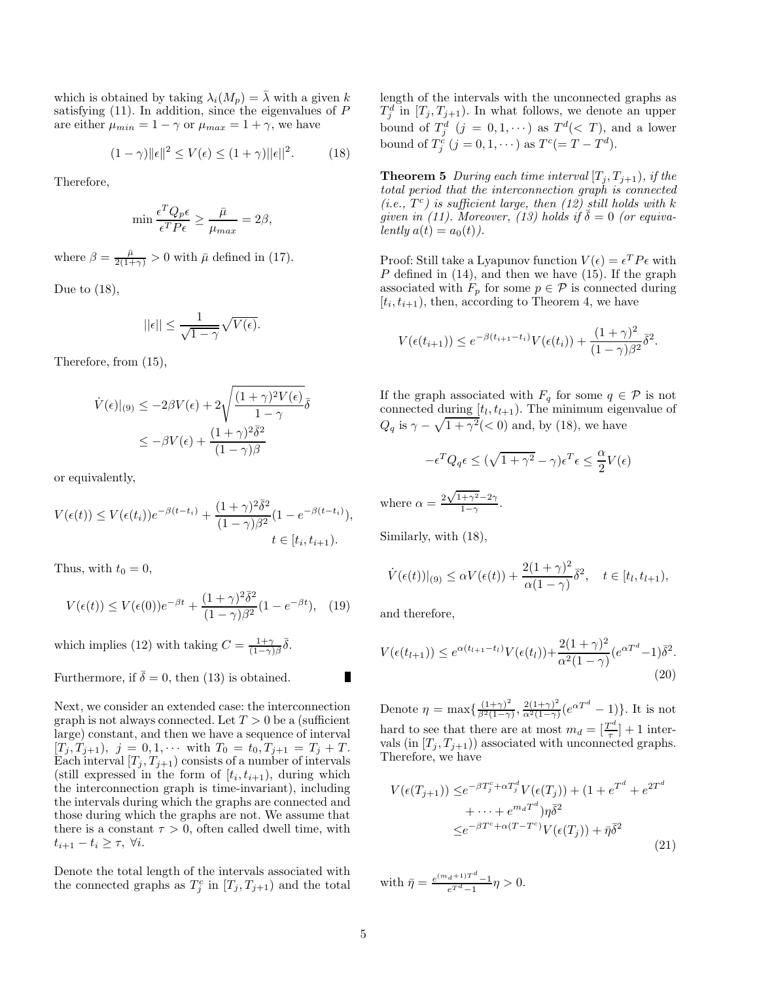which is obtained by taking  $\lambda_i(M_p) = \overline{\lambda}$  with a given k satisfying  $(11)$ . In addition, since the eigenvalues of P are either  $\mu_{min} = 1 - \gamma$  or  $\mu_{max} = 1 + \gamma$ , we have

$$
(1 - \gamma) \|\epsilon\|^2 \le V(\epsilon) \le (1 + \gamma) \|\epsilon\|^2. \tag{18}
$$

Therefore,

$$
\min \frac{\epsilon^T Q_p \epsilon}{\epsilon^T P \epsilon} \ge \frac{\bar{\mu}}{\mu_{max}} = 2\beta,
$$

where  $\beta = \frac{\bar{\mu}}{2(1+\gamma)} > 0$  with  $\bar{\mu}$  defined in (17).

Due to  $(18)$ ,

$$
||\epsilon|| \le \frac{1}{\sqrt{1-\gamma}}\sqrt{V(\epsilon)}.
$$

Therefore, from (15),

$$
\dot{V}(\epsilon)|_{(9)} \le -2\beta V(\epsilon) + 2\sqrt{\frac{(1+\gamma)^2 V(\epsilon)}{1-\gamma}} \overline{\delta}
$$
  

$$
\le -\beta V(\epsilon) + \frac{(1+\gamma)^2 \overline{\delta}^2}{(1-\gamma)\beta}
$$

or equivalently,

$$
V(\epsilon(t)) \le V(\epsilon(t_i))e^{-\beta(t-t_i)} + \frac{(1+\gamma)^2\bar{\delta}^2}{(1-\gamma)\beta^2}(1-e^{-\beta(t-t_i)}),
$$
  
 $t \in [t_i, t_{i+1}).$ 

Thus, with  $t_0 = 0$ ,

$$
V(\epsilon(t)) \le V(\epsilon(0))e^{-\beta t} + \frac{(1+\gamma)^2 \overline{\delta}^2}{(1-\gamma)\beta^2} (1 - e^{-\beta t}), \quad (19)
$$

which implies (12) with taking  $C = \frac{1+\gamma}{(1-\gamma)\beta} \bar{\delta}$ .

# Furthermore, if  $\overline{\delta} = 0$ , then (13) is obtained.

Next, we consider an extended case: the interconnection graph is not always connected. Let  $T > 0$  be a (sufficient large) constant, and then we have a sequence of interval  $[T_j, T_{j+1}), j = 0, 1, \cdots$  with  $T_0 = t_0, T_{j+1} = T_j + T$ . Each interval  $[T_j, T_{j+1})$  consists of a number of intervals (still expressed in the form of  $[t_i, t_{i+1})$ , during which the interconnection graph is time-invariant), including the intervals during which the graphs are connected and those during which the graphs are not. We assume that there is a constant  $\tau > 0$ , often called dwell time, with  $t_{i+1} - t_i \geq \tau$ ,  $\forall i$ .

Denote the total length of the intervals associated with the connected graphs as  $T_j^c$  in  $[T_j, T_{j+1})$  and the total

length of the intervals with the unconnected graphs as  $T_j^d$  in  $[T_j, T_{j+1})$ . In what follows, we denote an upper bound of  $T_j^d$   $(j = 0, 1, \dots)$  as  $T^d(< T)$ , and a lower bound of  $T_j^c$   $(j = 0, 1, \dots)$  as  $T^c (= T - T^d)$ .

**Theorem 5** During each time interval  $[T_j, T_{j+1})$ , if the total period that the interconnection graph is connected (i.e.,  $T^c$ ) is sufficient large, then (12) still holds with k given in (11). Moreover, (13) holds if  $\overline{\delta} = 0$  (or equivalently  $a(t) = a_0(t)$ .

Proof: Still take a Lyapunov function  $V(\epsilon) = \epsilon^T P \epsilon$  with P defined in (14), and then we have (15). If the graph associated with  $F_p$  for some  $p \in \mathcal{P}$  is connected during  $[t_i, t_{i+1})$ , then, according to Theorem 4, we have

$$
V(\epsilon(t_{i+1})) \le e^{-\beta(t_{i+1}-t_i)} V(\epsilon(t_i)) + \frac{(1+\gamma)^2}{(1-\gamma)\beta^2} \bar{\delta}^2.
$$

If the graph associated with  $F_q$  for some  $q \in \mathcal{P}$  is not connected during  $[t_l, t_{l+1})$ . The minimum eigenvalue of  $Q_q$  is  $\gamma - \sqrt{1 + \gamma^2}$ (< 0) and, by (18), we have

$$
-\epsilon^T Q_q \epsilon \le (\sqrt{1+\gamma^2} - \gamma)\epsilon^T \epsilon \le \frac{\alpha}{2} V(\epsilon)
$$

where 
$$
\alpha = \frac{2\sqrt{1+\gamma^2}-2\gamma}{1-\gamma}
$$
.

Similarly, with (18),

$$
\dot{V}(\epsilon(t))|_{(9)} \leq \alpha V(\epsilon(t)) + \frac{2(1+\gamma)^2}{\alpha(1-\gamma)}\bar{\delta}^2, \quad t \in [t_l, t_{l+1}),
$$

and therefore,

$$
V(\epsilon(t_{l+1})) \le e^{\alpha(t_{l+1}-t_l)} V(\epsilon(t_l)) + \frac{2(1+\gamma)^2}{\alpha^2 (1-\gamma)} (e^{\alpha T^d} - 1) \bar{\delta}^2.
$$
\n(20)

Denote  $\eta = \max\left\{\frac{(1+\gamma)^2}{\beta^2(1-\gamma)}\right\}$  $\frac{(1+\gamma)^2}{\beta^2(1-\gamma)}, \frac{2(1+\gamma)^2}{\alpha^2(1-\gamma)}$  $\frac{2(1+\gamma)^2}{\alpha^2(1-\gamma)}(e^{\alpha T^d}-1)\}.$  It is not hard to see that there are at most  $m_d = \left[\frac{T^d}{\tau}\right]$  $\left[\frac{m}{\tau}\right] + 1$  intervals (in  $[T_j, T_{j+1})$ ) associated with unconnected graphs. Therefore, we have

$$
V(\epsilon(T_{j+1})) \leq e^{-\beta T_j^c + \alpha T_j^d} V(\epsilon(T_j)) + (1 + e^{T^d} + e^{2T^d})
$$
  
 
$$
+ \cdots + e^{m_d T^d}) \eta \overline{\delta}^2
$$
  
 
$$
\leq e^{-\beta T^c + \alpha (T - T^c)} V(\epsilon(T_j)) + \overline{\eta} \overline{\delta}^2
$$
 (21)

with  $\bar{\eta} = \frac{e^{(m_d+1)T^d} - 1}{e^{T^d} - 1} \eta > 0.$